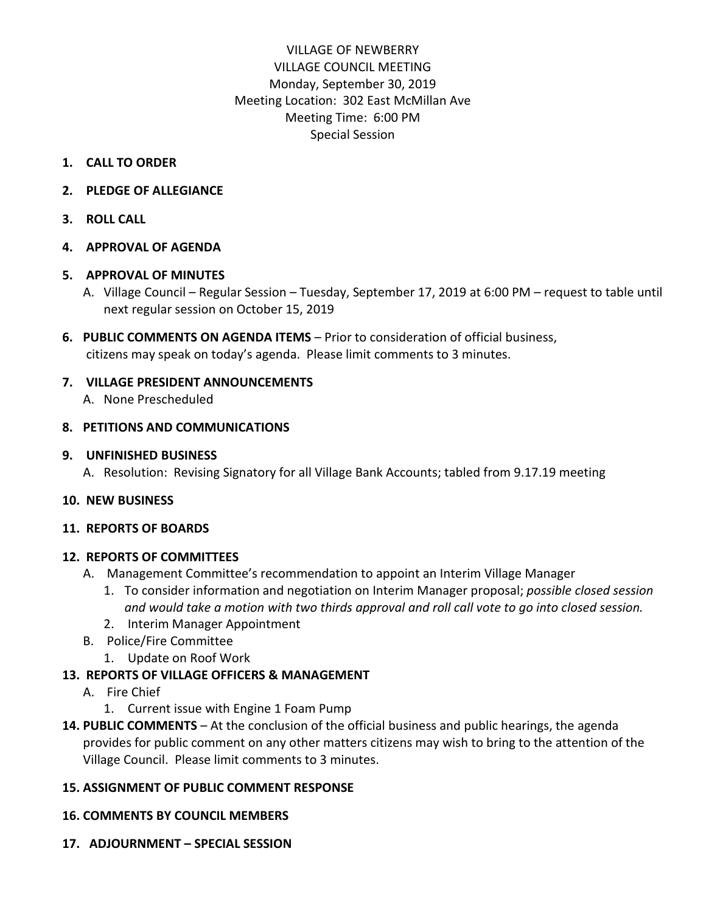# VILLAGE OF NEWBERRY VILLAGE COUNCIL MEETING Monday, September 30, 2019 Meeting Location: 302 East McMillan Ave Meeting Time: 6:00 PM Special Session

#### **1. CALL TO ORDER**

- **2. PLEDGE OF ALLEGIANCE**
- **3. ROLL CALL**

#### **4. APPROVAL OF AGENDA**

#### **5. APPROVAL OF MINUTES**

- A. Village Council Regular Session Tuesday, September 17, 2019 at 6:00 PM request to table until next regular session on October 15, 2019
- **6. PUBLIC COMMENTS ON AGENDA ITEMS**  Prior to consideration of official business, citizens may speak on today's agenda. Please limit comments to 3 minutes.

# **7. VILLAGE PRESIDENT ANNOUNCEMENTS**

A. None Prescheduled

#### **8. PETITIONS AND COMMUNICATIONS**

#### **9. UNFINISHED BUSINESS**

A. Resolution: Revising Signatory for all Village Bank Accounts; tabled from 9.17.19 meeting

# **10. NEW BUSINESS**

#### **11. REPORTS OF BOARDS**

# **12. REPORTS OF COMMITTEES**

- A. Management Committee's recommendation to appoint an Interim Village Manager
	- 1. To consider information and negotiation on Interim Manager proposal; *possible closed session and would take a motion with two thirds approval and roll call vote to go into closed session.*
	- 2. Interim Manager Appointment
- B. Police/Fire Committee
	- 1. Update on Roof Work

# **13. REPORTS OF VILLAGE OFFICERS & MANAGEMENT**

- A. Fire Chief
	- 1. Current issue with Engine 1 Foam Pump
- **14. PUBLIC COMMENTS** At the conclusion of the official business and public hearings, the agenda provides for public comment on any other matters citizens may wish to bring to the attention of the Village Council. Please limit comments to 3 minutes.

# **15. ASSIGNMENT OF PUBLIC COMMENT RESPONSE**

# **16. COMMENTS BY COUNCIL MEMBERS**

**17. ADJOURNMENT – SPECIAL SESSION**